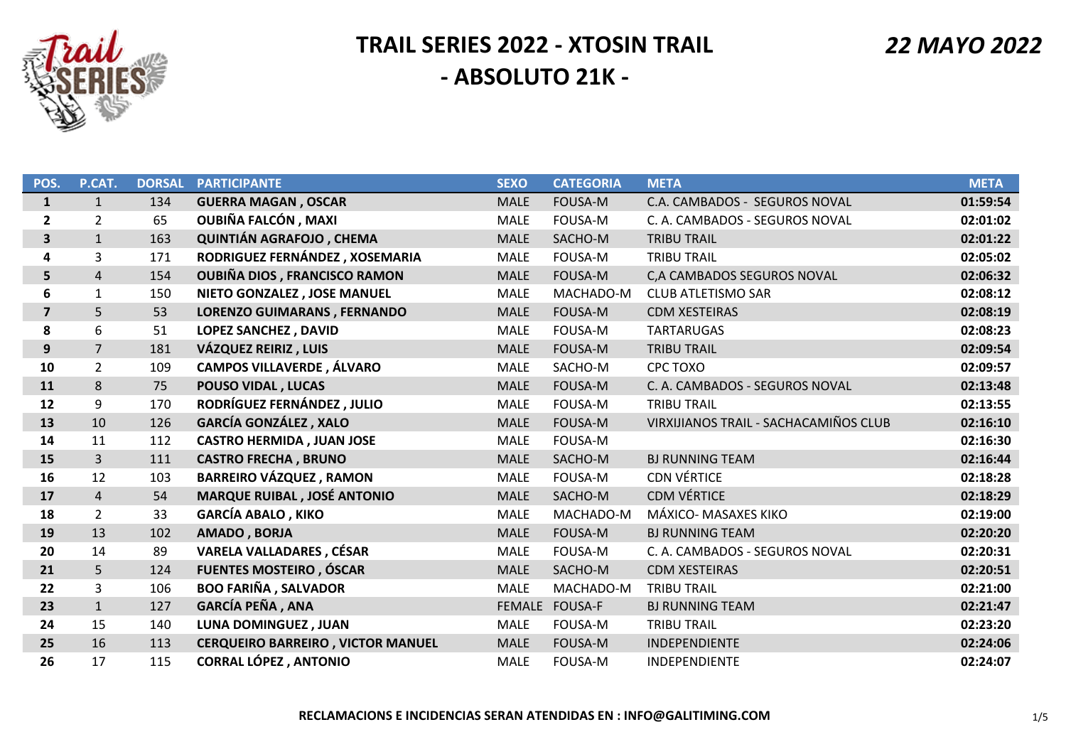

| POS.                    | P.CAT.         | <b>DORSAL</b> | <b>PARTICIPANTE</b>                      | <b>SEXO</b> | <b>CATEGORIA</b> | <b>META</b>                           | <b>META</b> |
|-------------------------|----------------|---------------|------------------------------------------|-------------|------------------|---------------------------------------|-------------|
| $\mathbf{1}$            | $\mathbf{1}$   | 134           | <b>GUERRA MAGAN, OSCAR</b>               | <b>MALE</b> | <b>FOUSA-M</b>   | C.A. CAMBADOS - SEGUROS NOVAL         | 01:59:54    |
| $\overline{2}$          | $\overline{2}$ | 65            | <b>OUBIÑA FALCÓN, MAXI</b>               | <b>MALE</b> | FOUSA-M          | C. A. CAMBADOS - SEGUROS NOVAL        | 02:01:02    |
| 3                       | $\mathbf{1}$   | 163           | QUINTIÁN AGRAFOJO, CHEMA                 | <b>MALE</b> | SACHO-M          | <b>TRIBU TRAIL</b>                    | 02:01:22    |
| 4                       | 3              | 171           | RODRIGUEZ FERNÁNDEZ, XOSEMARIA           | <b>MALE</b> | FOUSA-M          | <b>TRIBU TRAIL</b>                    | 02:05:02    |
| 5                       | $\overline{4}$ | 154           | <b>OUBIÑA DIOS, FRANCISCO RAMON</b>      | <b>MALE</b> | <b>FOUSA-M</b>   | C, A CAMBADOS SEGUROS NOVAL           | 02:06:32    |
| 6                       | 1              | 150           | NIETO GONZALEZ, JOSE MANUEL              | <b>MALE</b> | MACHADO-M        | <b>CLUB ATLETISMO SAR</b>             | 02:08:12    |
| $\overline{\mathbf{z}}$ | 5              | 53            | <b>LORENZO GUIMARANS, FERNANDO</b>       | <b>MALE</b> | <b>FOUSA-M</b>   | <b>CDM XESTEIRAS</b>                  | 02:08:19    |
| 8                       | 6              | 51            | LOPEZ SANCHEZ, DAVID                     | <b>MALE</b> | FOUSA-M          | <b>TARTARUGAS</b>                     | 02:08:23    |
| 9                       | 7              | 181           | VÁZQUEZ REIRIZ, LUIS                     | <b>MALE</b> | <b>FOUSA-M</b>   | <b>TRIBU TRAIL</b>                    | 02:09:54    |
| 10                      | 2              | 109           | <b>CAMPOS VILLAVERDE, ÁLVARO</b>         | <b>MALE</b> | SACHO-M          | CPC TOXO                              | 02:09:57    |
| 11                      | 8              | 75            | <b>POUSO VIDAL, LUCAS</b>                | <b>MALE</b> | <b>FOUSA-M</b>   | C. A. CAMBADOS - SEGUROS NOVAL        | 02:13:48    |
| 12                      | 9              | 170           | RODRÍGUEZ FERNÁNDEZ, JULIO               | <b>MALE</b> | FOUSA-M          | <b>TRIBU TRAIL</b>                    | 02:13:55    |
| 13                      | 10             | 126           | <b>GARCÍA GONZÁLEZ, XALO</b>             | <b>MALE</b> | FOUSA-M          | VIRXIJIANOS TRAIL - SACHACAMIÑOS CLUB | 02:16:10    |
| 14                      | 11             | 112           | <b>CASTRO HERMIDA, JUAN JOSE</b>         | <b>MALE</b> | FOUSA-M          |                                       | 02:16:30    |
| 15                      | 3              | 111           | <b>CASTRO FRECHA, BRUNO</b>              | <b>MALE</b> | SACHO-M          | <b>BJ RUNNING TEAM</b>                | 02:16:44    |
| 16                      | 12             | 103           | <b>BARREIRO VÁZQUEZ, RAMON</b>           | <b>MALE</b> | FOUSA-M          | <b>CDN VÉRTICE</b>                    | 02:18:28    |
| 17                      | $\overline{4}$ | 54            | <b>MARQUE RUIBAL, JOSÉ ANTONIO</b>       | <b>MALE</b> | SACHO-M          | <b>CDM VÉRTICE</b>                    | 02:18:29    |
| 18                      | $\overline{2}$ | 33            | <b>GARCÍA ABALO, KIKO</b>                | <b>MALE</b> | MACHADO-M        | MÁXICO- MASAXES KIKO                  | 02:19:00    |
| 19                      | 13             | 102           | AMADO, BORJA                             | <b>MALE</b> | FOUSA-M          | <b>BJ RUNNING TEAM</b>                | 02:20:20    |
| 20                      | 14             | 89            | <b>VARELA VALLADARES, CÉSAR</b>          | <b>MALE</b> | FOUSA-M          | C. A. CAMBADOS - SEGUROS NOVAL        | 02:20:31    |
| 21                      | 5              | 124           | <b>FUENTES MOSTEIRO, ÓSCAR</b>           | <b>MALE</b> | SACHO-M          | <b>CDM XESTEIRAS</b>                  | 02:20:51    |
| 22                      | 3              | 106           | <b>BOO FARIÑA, SALVADOR</b>              | <b>MALE</b> | MACHADO-M        | <b>TRIBU TRAIL</b>                    | 02:21:00    |
| 23                      | $\mathbf{1}$   | 127           | <b>GARCÍA PEÑA, ANA</b>                  |             | FEMALE FOUSA-F   | <b>BJ RUNNING TEAM</b>                | 02:21:47    |
| 24                      | 15             | 140           | LUNA DOMINGUEZ, JUAN                     | <b>MALE</b> | FOUSA-M          | <b>TRIBU TRAIL</b>                    | 02:23:20    |
| 25                      | 16             | 113           | <b>CERQUEIRO BARREIRO, VICTOR MANUEL</b> | <b>MALE</b> | <b>FOUSA-M</b>   | INDEPENDIENTE                         | 02:24:06    |
| 26                      | 17             | 115           | <b>CORRAL LÓPEZ, ANTONIO</b>             | <b>MALE</b> | FOUSA-M          | INDEPENDIENTE                         | 02:24:07    |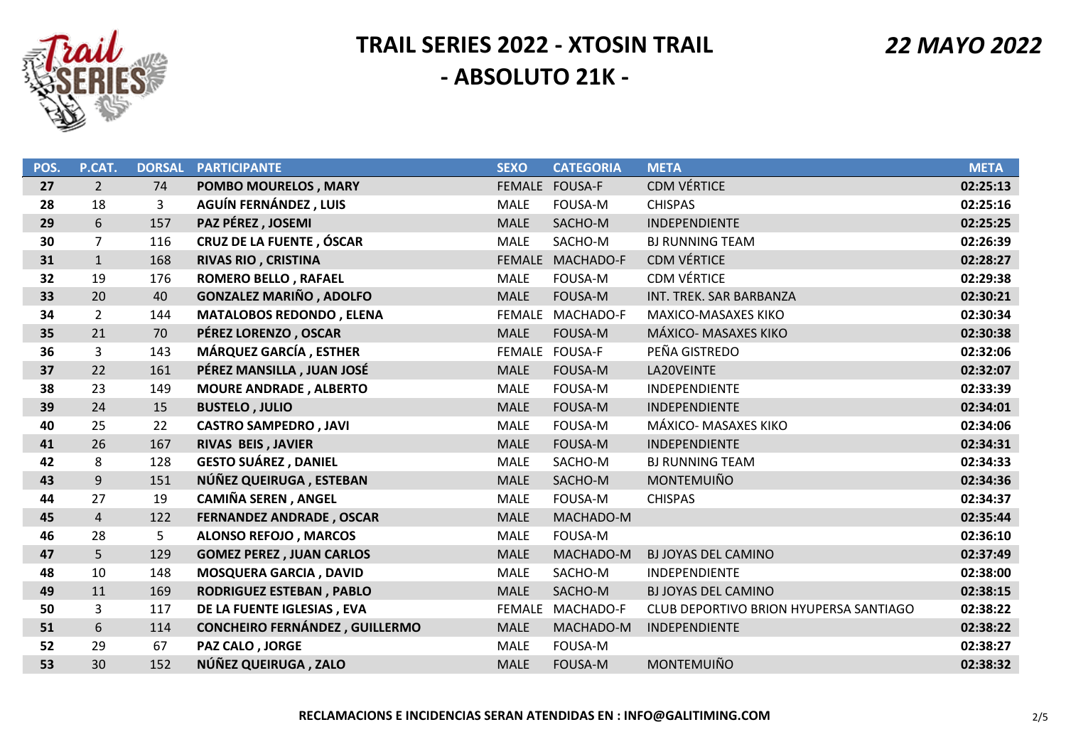

 *22 MAYO 2022*

| POS. | P.CAT.         | <b>DORSAL</b> | <b>PARTICIPANTE</b>                   | <b>SEXO</b>   | <b>CATEGORIA</b> | <b>META</b>                            | <b>META</b> |
|------|----------------|---------------|---------------------------------------|---------------|------------------|----------------------------------------|-------------|
| 27   | $\overline{2}$ | 74            | POMBO MOURELOS, MARY                  |               | FEMALE FOUSA-F   | <b>CDM VÉRTICE</b>                     | 02:25:13    |
| 28   | 18             | 3             | AGUÍN FERNÁNDEZ, LUIS                 | <b>MALE</b>   | <b>FOUSA-M</b>   | <b>CHISPAS</b>                         | 02:25:16    |
| 29   | 6              | 157           | PAZ PÉREZ, JOSEMI                     | <b>MALE</b>   | SACHO-M          | INDEPENDIENTE                          | 02:25:25    |
| 30   | $\overline{7}$ | 116           | <b>CRUZ DE LA FUENTE, ÓSCAR</b>       | <b>MALE</b>   | SACHO-M          | <b>BJ RUNNING TEAM</b>                 | 02:26:39    |
| 31   | $\mathbf{1}$   | 168           | <b>RIVAS RIO, CRISTINA</b>            | <b>FEMALE</b> | MACHADO-F        | <b>CDM VÉRTICE</b>                     | 02:28:27    |
| 32   | 19             | 176           | <b>ROMERO BELLO, RAFAEL</b>           | <b>MALE</b>   | <b>FOUSA-M</b>   | <b>CDM VÉRTICE</b>                     | 02:29:38    |
| 33   | 20             | 40            | <b>GONZALEZ MARIÑO, ADOLFO</b>        | <b>MALE</b>   | FOUSA-M          | INT. TREK. SAR BARBANZA                | 02:30:21    |
| 34   | $\overline{2}$ | 144           | <b>MATALOBOS REDONDO, ELENA</b>       | <b>FEMALE</b> | MACHADO-F        | <b>MAXICO-MASAXES KIKO</b>             | 02:30:34    |
| 35   | 21             | 70            | PÉREZ LORENZO, OSCAR                  | <b>MALE</b>   | <b>FOUSA-M</b>   | MÁXICO- MASAXES KIKO                   | 02:30:38    |
| 36   | 3              | 143           | MÁRQUEZ GARCÍA, ESTHER                |               | FEMALE FOUSA-F   | PEÑA GISTREDO                          | 02:32:06    |
| 37   | 22             | 161           | PÉREZ MANSILLA, JUAN JOSÉ             | <b>MALE</b>   | <b>FOUSA-M</b>   | LA20VEINTE                             | 02:32:07    |
| 38   | 23             | 149           | <b>MOURE ANDRADE, ALBERTO</b>         | <b>MALE</b>   | <b>FOUSA-M</b>   | <b>INDEPENDIENTE</b>                   | 02:33:39    |
| 39   | 24             | 15            | <b>BUSTELO, JULIO</b>                 | <b>MALE</b>   | <b>FOUSA-M</b>   | INDEPENDIENTE                          | 02:34:01    |
| 40   | 25             | 22            | <b>CASTRO SAMPEDRO, JAVI</b>          | <b>MALE</b>   | FOUSA-M          | MÁXICO- MASAXES KIKO                   | 02:34:06    |
| 41   | 26             | 167           | RIVAS BEIS, JAVIER                    | <b>MALE</b>   | FOUSA-M          | <b>INDEPENDIENTE</b>                   | 02:34:31    |
| 42   | 8              | 128           | <b>GESTO SUÁREZ, DANIEL</b>           | <b>MALE</b>   | SACHO-M          | <b>BJ RUNNING TEAM</b>                 | 02:34:33    |
| 43   | 9              | 151           | NÚÑEZ QUEIRUGA, ESTEBAN               | <b>MALE</b>   | SACHO-M          | <b>MONTEMUIÑO</b>                      | 02:34:36    |
| 44   | 27             | 19            | <b>CAMIÑA SEREN, ANGEL</b>            | MALE          | <b>FOUSA-M</b>   | <b>CHISPAS</b>                         | 02:34:37    |
| 45   | $\overline{4}$ | 122           | <b>FERNANDEZ ANDRADE, OSCAR</b>       | <b>MALE</b>   | MACHADO-M        |                                        | 02:35:44    |
| 46   | 28             | 5             | <b>ALONSO REFOJO, MARCOS</b>          | <b>MALE</b>   | <b>FOUSA-M</b>   |                                        | 02:36:10    |
| 47   | 5              | 129           | <b>GOMEZ PEREZ, JUAN CARLOS</b>       | <b>MALE</b>   | MACHADO-M        | <b>BJ JOYAS DEL CAMINO</b>             | 02:37:49    |
| 48   | 10             | 148           | <b>MOSQUERA GARCIA, DAVID</b>         | <b>MALE</b>   | SACHO-M          | INDEPENDIENTE                          | 02:38:00    |
| 49   | 11             | 169           | <b>RODRIGUEZ ESTEBAN, PABLO</b>       | <b>MALE</b>   | SACHO-M          | <b>BJ JOYAS DEL CAMINO</b>             | 02:38:15    |
| 50   | 3              | 117           | DE LA FUENTE IGLESIAS, EVA            | <b>FEMALE</b> | MACHADO-F        | CLUB DEPORTIVO BRION HYUPERSA SANTIAGO | 02:38:22    |
| 51   | 6              | 114           | <b>CONCHEIRO FERNÁNDEZ, GUILLERMO</b> | <b>MALE</b>   | MACHADO-M        | INDEPENDIENTE                          | 02:38:22    |
| 52   | 29             | 67            | PAZ CALO, JORGE                       | <b>MALE</b>   | <b>FOUSA-M</b>   |                                        | 02:38:27    |
| 53   | 30             | 152           | NÚÑEZ QUEIRUGA, ZALO                  | <b>MALE</b>   | <b>FOUSA-M</b>   | <b>MONTEMUIÑO</b>                      | 02:38:32    |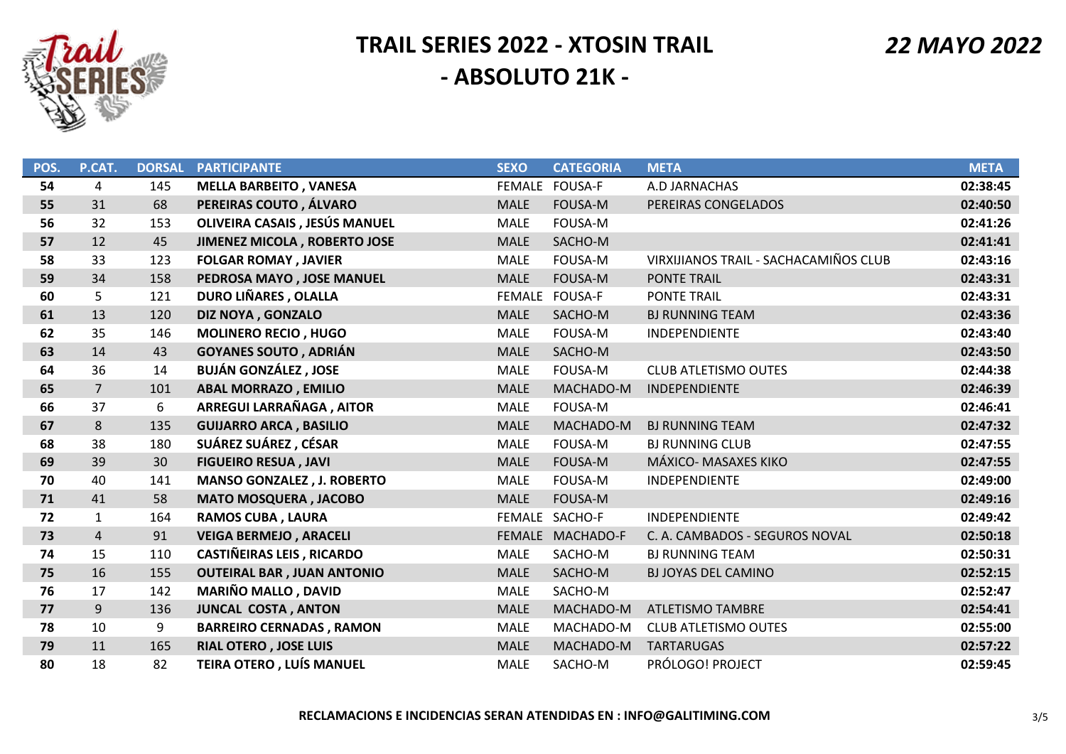

| POS. | P.CAT.         | <b>DORSAL</b> | <b>PARTICIPANTE</b>               | <b>SEXO</b>   | <b>CATEGORIA</b> | <b>META</b>                           | <b>META</b> |
|------|----------------|---------------|-----------------------------------|---------------|------------------|---------------------------------------|-------------|
| 54   | 4              | 145           | <b>MELLA BARBEITO, VANESA</b>     |               | FEMALE FOUSA-F   | A.D JARNACHAS                         | 02:38:45    |
| 55   | 31             | 68            | PEREIRAS COUTO, ÁLVARO            | <b>MALE</b>   | <b>FOUSA-M</b>   | PEREIRAS CONGELADOS                   | 02:40:50    |
| 56   | 32             | 153           | OLIVEIRA CASAIS, JESÚS MANUEL     | <b>MALE</b>   | <b>FOUSA-M</b>   |                                       | 02:41:26    |
| 57   | 12             | 45            | JIMENEZ MICOLA, ROBERTO JOSE      | <b>MALE</b>   | SACHO-M          |                                       | 02:41:41    |
| 58   | 33             | 123           | <b>FOLGAR ROMAY, JAVIER</b>       | <b>MALE</b>   | FOUSA-M          | VIRXIJIANOS TRAIL - SACHACAMIÑOS CLUB | 02:43:16    |
| 59   | 34             | 158           | PEDROSA MAYO, JOSE MANUEL         | <b>MALE</b>   | <b>FOUSA-M</b>   | <b>PONTE TRAIL</b>                    | 02:43:31    |
| 60   | 5              | 121           | DURO LIÑARES, OLALLA              | <b>FEMALE</b> | <b>FOUSA-F</b>   | PONTE TRAIL                           | 02:43:31    |
| 61   | 13             | 120           | DIZ NOYA, GONZALO                 | <b>MALE</b>   | SACHO-M          | <b>BJ RUNNING TEAM</b>                | 02:43:36    |
| 62   | 35             | 146           | <b>MOLINERO RECIO, HUGO</b>       | <b>MALE</b>   | FOUSA-M          | INDEPENDIENTE                         | 02:43:40    |
| 63   | 14             | 43            | <b>GOYANES SOUTO, ADRIÁN</b>      | <b>MALE</b>   | SACHO-M          |                                       | 02:43:50    |
| 64   | 36             | 14            | <b>BUJÁN GONZÁLEZ, JOSE</b>       | <b>MALE</b>   | FOUSA-M          | <b>CLUB ATLETISMO OUTES</b>           | 02:44:38    |
| 65   | $\overline{7}$ | 101           | <b>ABAL MORRAZO, EMILIO</b>       | <b>MALE</b>   | MACHADO-M        | <b>INDEPENDIENTE</b>                  | 02:46:39    |
| 66   | 37             | 6             | ARREGUI LARRAÑAGA, AITOR          | <b>MALE</b>   | <b>FOUSA-M</b>   |                                       | 02:46:41    |
| 67   | 8              | 135           | <b>GUIJARRO ARCA, BASILIO</b>     | <b>MALE</b>   | MACHADO-M        | <b>BJ RUNNING TEAM</b>                | 02:47:32    |
| 68   | 38             | 180           | SUÁREZ SUÁREZ, CÉSAR              | <b>MALE</b>   | <b>FOUSA-M</b>   | <b>BJ RUNNING CLUB</b>                | 02:47:55    |
| 69   | 39             | 30            | <b>FIGUEIRO RESUA, JAVI</b>       | <b>MALE</b>   | <b>FOUSA-M</b>   | MÁXICO- MASAXES KIKO                  | 02:47:55    |
| 70   | 40             | 141           | <b>MANSO GONZALEZ, J. ROBERTO</b> | <b>MALE</b>   | <b>FOUSA-M</b>   | <b>INDEPENDIENTE</b>                  | 02:49:00    |
| 71   | 41             | 58            | <b>MATO MOSQUERA, JACOBO</b>      | <b>MALE</b>   | FOUSA-M          |                                       | 02:49:16    |
| 72   | $\mathbf{1}$   | 164           | <b>RAMOS CUBA, LAURA</b>          |               | FEMALE SACHO-F   | INDEPENDIENTE                         | 02:49:42    |
| 73   | $\overline{4}$ | 91            | <b>VEIGA BERMEJO, ARACELI</b>     |               | FEMALE MACHADO-F | C. A. CAMBADOS - SEGUROS NOVAL        | 02:50:18    |
| 74   | 15             | 110           | <b>CASTIÑEIRAS LEIS, RICARDO</b>  | MALE          | SACHO-M          | <b>BJ RUNNING TEAM</b>                | 02:50:31    |
| 75   | 16             | 155           | <b>OUTEIRAL BAR, JUAN ANTONIO</b> | <b>MALE</b>   | SACHO-M          | <b>BJ JOYAS DEL CAMINO</b>            | 02:52:15    |
| 76   | 17             | 142           | <b>MARIÑO MALLO, DAVID</b>        | <b>MALE</b>   | SACHO-M          |                                       | 02:52:47    |
| 77   | 9              | 136           | <b>JUNCAL COSTA, ANTON</b>        | <b>MALE</b>   | MACHADO-M        | <b>ATLETISMO TAMBRE</b>               | 02:54:41    |
| 78   | 10             | 9             | <b>BARREIRO CERNADAS, RAMON</b>   | <b>MALE</b>   | MACHADO-M        | <b>CLUB ATLETISMO OUTES</b>           | 02:55:00    |
| 79   | 11             | 165           | <b>RIAL OTERO, JOSE LUIS</b>      | <b>MALE</b>   | MACHADO-M        | <b>TARTARUGAS</b>                     | 02:57:22    |
| 80   | 18             | 82            | <b>TEIRA OTERO, LUÍS MANUEL</b>   | <b>MALE</b>   | SACHO-M          | PRÓLOGO! PROJECT                      | 02:59:45    |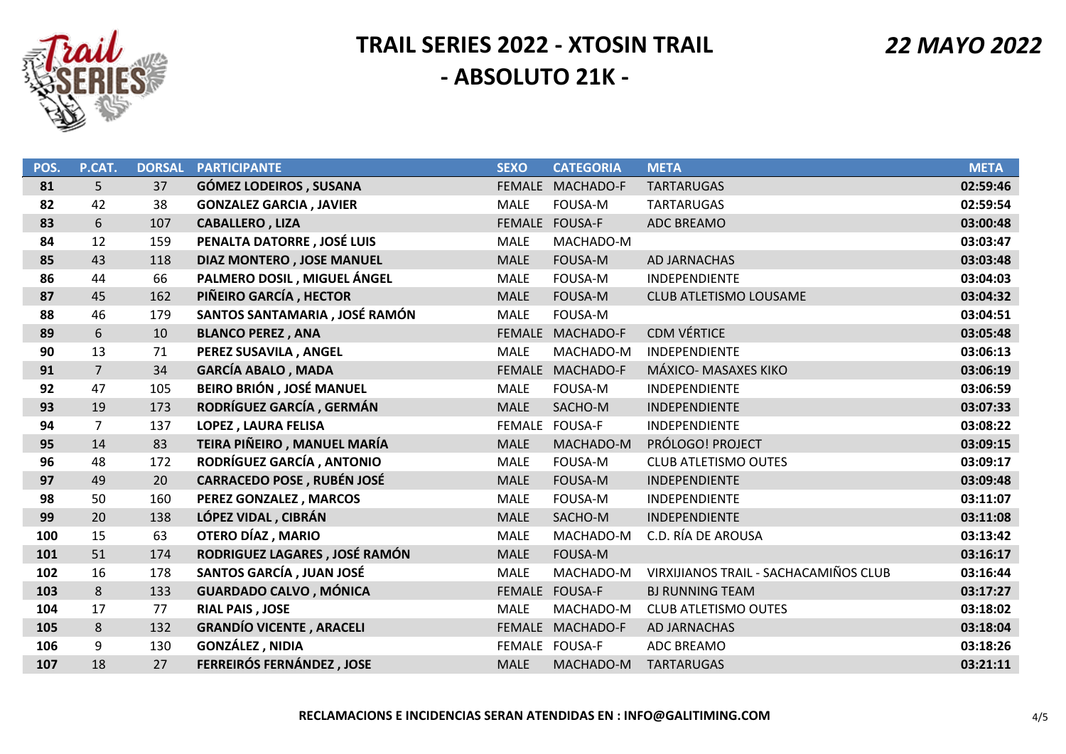

 *22 MAYO 2022*

| POS. | P.CAT.         | <b>DORSAL</b> | <b>PARTICIPANTE</b>               | <b>SEXO</b>   | <b>CATEGORIA</b> | <b>META</b>                           | <b>META</b> |
|------|----------------|---------------|-----------------------------------|---------------|------------------|---------------------------------------|-------------|
| 81   | 5              | 37            | <b>GÓMEZ LODEIROS, SUSANA</b>     | <b>FEMALE</b> | MACHADO-F        | <b>TARTARUGAS</b>                     | 02:59:46    |
| 82   | 42             | 38            | <b>GONZALEZ GARCIA, JAVIER</b>    | <b>MALE</b>   | FOUSA-M          | <b>TARTARUGAS</b>                     | 02:59:54    |
| 83   | 6              | 107           | <b>CABALLERO, LIZA</b>            |               | FEMALE FOUSA-F   | ADC BREAMO                            | 03:00:48    |
| 84   | 12             | 159           | PENALTA DATORRE, JOSÉ LUIS        | <b>MALE</b>   | MACHADO-M        |                                       | 03:03:47    |
| 85   | 43             | 118           | <b>DIAZ MONTERO, JOSE MANUEL</b>  | <b>MALE</b>   | FOUSA-M          | <b>AD JARNACHAS</b>                   | 03:03:48    |
| 86   | 44             | 66            | PALMERO DOSIL, MIGUEL ÁNGEL       | <b>MALE</b>   | FOUSA-M          | INDEPENDIENTE                         | 03:04:03    |
| 87   | 45             | 162           | PIÑEIRO GARCÍA, HECTOR            | <b>MALE</b>   | FOUSA-M          | <b>CLUB ATLETISMO LOUSAME</b>         | 03:04:32    |
| 88   | 46             | 179           | SANTOS SANTAMARIA, JOSÉ RAMÓN     | <b>MALE</b>   | FOUSA-M          |                                       | 03:04:51    |
| 89   | 6              | 10            | <b>BLANCO PEREZ, ANA</b>          | <b>FEMALE</b> | MACHADO-F        | <b>CDM VÉRTICE</b>                    | 03:05:48    |
| 90   | 13             | 71            | PEREZ SUSAVILA, ANGEL             | <b>MALE</b>   | MACHADO-M        | INDEPENDIENTE                         | 03:06:13    |
| 91   | $\overline{7}$ | 34            | <b>GARCÍA ABALO, MADA</b>         | <b>FEMALE</b> | MACHADO-F        | MÁXICO- MASAXES KIKO                  | 03:06:19    |
| 92   | 47             | 105           | BEIRO BRIÓN, JOSÉ MANUEL          | <b>MALE</b>   | FOUSA-M          | INDEPENDIENTE                         | 03:06:59    |
| 93   | 19             | 173           | RODRÍGUEZ GARCÍA, GERMÁN          | <b>MALE</b>   | SACHO-M          | INDEPENDIENTE                         | 03:07:33    |
| 94   | $\overline{7}$ | 137           | <b>LOPEZ, LAURA FELISA</b>        | <b>FEMALE</b> | <b>FOUSA-F</b>   | INDEPENDIENTE                         | 03:08:22    |
| 95   | 14             | 83            | TEIRA PIÑEIRO, MANUEL MARÍA       | <b>MALE</b>   | MACHADO-M        | PRÓLOGO! PROJECT                      | 03:09:15    |
| 96   | 48             | 172           | RODRÍGUEZ GARCÍA, ANTONIO         | <b>MALE</b>   | FOUSA-M          | <b>CLUB ATLETISMO OUTES</b>           | 03:09:17    |
| 97   | 49             | 20            | <b>CARRACEDO POSE, RUBÉN JOSÉ</b> | <b>MALE</b>   | <b>FOUSA-M</b>   | INDEPENDIENTE                         | 03:09:48    |
| 98   | 50             | 160           | PEREZ GONZALEZ, MARCOS            | <b>MALE</b>   | FOUSA-M          | INDEPENDIENTE                         | 03:11:07    |
| 99   | 20             | 138           | LÓPEZ VIDAL, CIBRÁN               | <b>MALE</b>   | SACHO-M          | INDEPENDIENTE                         | 03:11:08    |
| 100  | 15             | 63            | OTERO DÍAZ, MARIO                 | MALE          | MACHADO-M        | C.D. RÍA DE AROUSA                    | 03:13:42    |
| 101  | 51             | 174           | RODRIGUEZ LAGARES, JOSÉ RAMÓN     | <b>MALE</b>   | <b>FOUSA-M</b>   |                                       | 03:16:17    |
| 102  | 16             | 178           | SANTOS GARCÍA, JUAN JOSÉ          | <b>MALE</b>   | MACHADO-M        | VIRXIJIANOS TRAIL - SACHACAMIÑOS CLUB | 03:16:44    |
| 103  | 8              | 133           | <b>GUARDADO CALVO, MÓNICA</b>     |               | FEMALE FOUSA-F   | <b>BJ RUNNING TEAM</b>                | 03:17:27    |
| 104  | 17             | 77            | <b>RIAL PAIS, JOSE</b>            | <b>MALE</b>   | MACHADO-M        | <b>CLUB ATLETISMO OUTES</b>           | 03:18:02    |
| 105  | 8              | 132           | <b>GRANDÍO VICENTE, ARACELI</b>   | <b>FEMALE</b> | MACHADO-F        | AD JARNACHAS                          | 03:18:04    |
| 106  | 9              | 130           | <b>GONZÁLEZ, NIDIA</b>            |               | FEMALE FOUSA-F   | ADC BREAMO                            | 03:18:26    |
| 107  | 18             | 27            | FERREIRÓS FERNÁNDEZ, JOSE         | <b>MALE</b>   | MACHADO-M        | <b>TARTARUGAS</b>                     | 03:21:11    |